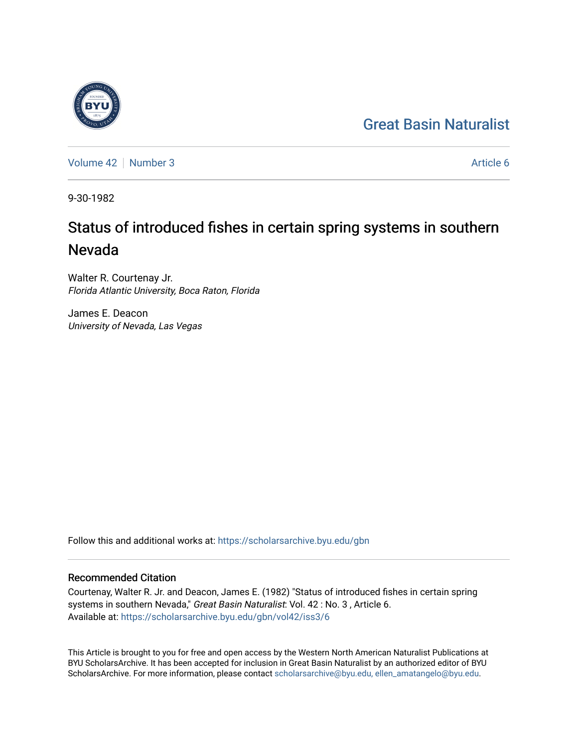## [Great Basin Naturalist](https://scholarsarchive.byu.edu/gbn)



[Volume 42](https://scholarsarchive.byu.edu/gbn/vol42) [Number 3](https://scholarsarchive.byu.edu/gbn/vol42/iss3) Article 6

9-30-1982

# Status of introduced fishes in certain spring systems in southern Nevada

Walter R. Courtenay Jr. Florida Atlantic University, Boca Raton, Florida

James E. Deacon University of Nevada, Las Vegas

Follow this and additional works at: [https://scholarsarchive.byu.edu/gbn](https://scholarsarchive.byu.edu/gbn?utm_source=scholarsarchive.byu.edu%2Fgbn%2Fvol42%2Fiss3%2F6&utm_medium=PDF&utm_campaign=PDFCoverPages) 

### Recommended Citation

Courtenay, Walter R. Jr. and Deacon, James E. (1982) "Status of introduced fishes in certain spring systems in southern Nevada," Great Basin Naturalist: Vol. 42 : No. 3, Article 6. Available at: [https://scholarsarchive.byu.edu/gbn/vol42/iss3/6](https://scholarsarchive.byu.edu/gbn/vol42/iss3/6?utm_source=scholarsarchive.byu.edu%2Fgbn%2Fvol42%2Fiss3%2F6&utm_medium=PDF&utm_campaign=PDFCoverPages)

This Article is brought to you for free and open access by the Western North American Naturalist Publications at BYU ScholarsArchive. It has been accepted for inclusion in Great Basin Naturalist by an authorized editor of BYU ScholarsArchive. For more information, please contact [scholarsarchive@byu.edu, ellen\\_amatangelo@byu.edu.](mailto:scholarsarchive@byu.edu,%20ellen_amatangelo@byu.edu)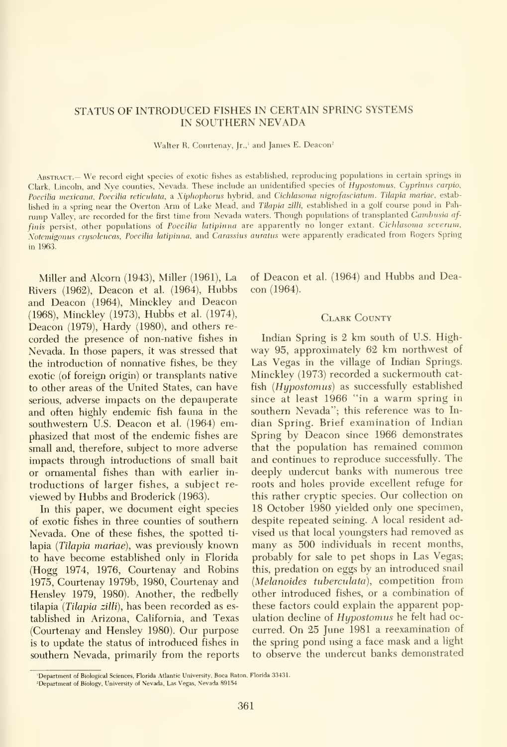#### STATUS OF INTRODUCED FISHES IN CERTAIN SPRING SYSTEMS IN SOUTHERN NEVADA

Walter R. Courtenay, Jr.,<sup>1</sup> and James E. Deacon<sup>2</sup>

.Abstract.— We record eight species of exotic fishes as established, reproducing populations in certain springs in Clark, Lincoln, and Nye counties, Nevada. These include an unidentified species of Hypostomus, Cyprinus carpio, Poecilia mexicana. Poecilia reticulata, a Xiphophorus hybrid, and Cichlasoma nigrofasciatum. Tilapia mariae, established in <sup>a</sup> spring near the Overton Arm of Lake Mead, and Tilapia zilli, established in <sup>a</sup> golf course pond in Pah rump Valley, are recorded for the first time from Nevada waters. Though populations of transplanted Gambusia af finis persist, other populations of Poecilia latipinna are apparently no longer extant. Cichlasoma severum, Notemigomis crysoleucas, Poecilia latipinna, and Carassius auratus were apparently eradicated from Rogers Spring in 1963.

Miller and Alcorn (1943), Miller (1961), La Rivers (1962), Deacon et al. (1964), Hubbs and Deacon (1964), Minckley and Deacon (1968), Minckley (1973), Hubbs et al. (1974), Deacon (1979), Hardy (1980), and others re corded the presence of non-native fishes in Nevada. In those papers, it was stressed that the introduction of nonnative fishes, be they exotic (of foreign origin) or transplants native to other areas of the United States, can have serious, adverse impacts on the depauperate and often highly endemic fish fauna in the southwestern U.S. Deacon et al. (1964) emphasized that most of the endemic fishes are small and, therefore, subject to more adverse impacts through introductions of small bait or ornamental fishes than with earlier in troductions of larger fishes, a subject re viewed by Hubbs and Broderick (1963).

In this paper, we document eight species of exotic fishes in three counties of southern Nevada. One of these fishes, the spotted ti lapia {Tilapia mariae), was previously known to have become established only in Florida (Hogg 1974, 1976, Courtenay and Robins 1975, Courtenay 1979b, 1980, Courtenay and Hensley 1979, 1980). Another, the redbelly tilapia (Tilapia zilli), has been recorded as established in Arizona, California, and Texas (Courtenay and Hensley 1980). Our purpose is to update the status of introduced fishes in southern Nevada, primarily from the reports of Deacon et al. (1964) and Hubbs and Deacon (1964).

#### Clark County

Indian Spring is 2 km south of U.S. Highway 95, approximately 62 km northwest of Las Vegas in the village of Indian Springs. Minckley (1973) recorded a suckermouth catfish  $(Hupostomus)$  as successfully established since at least 1966 "in <sup>a</sup> warm spring in southern Nevada"; this reference was to In dian Spring. Brief examination of Indian Spring by Deacon since 1966 demonstrates that the population has remained common and continues to reproduce successfully. The deeply undercut banks with numerous tree roots and holes provide excellent refuge for this rather cryptic species. Our collection on 18 October 1980 yielded only one specimen, despite repeated seining. A local resident advised us that local youngsters had removed as many as 500 individuals in recent months, probably for sale to pet shops in Las Vegas; this, predation on eggs by an introduced snail (Melanoides tuberculata), competition from other introduced fishes, or a combination of these factors could explain the apparent population decline of Hypostomus he felt had oc curred. On 25 June 1981 <sup>a</sup> reexamination of the spring pond using a face mask and a light to observe the undercut banks demonstrated

<sup>&#</sup>x27;Department of Biological Sciences, Florida Atlantic University, Boca Raton. Florida 33431.

<sup>&</sup>lt;sup>2</sup>Department of Biology, University of Nevada, Las Vegas, Nevada 89154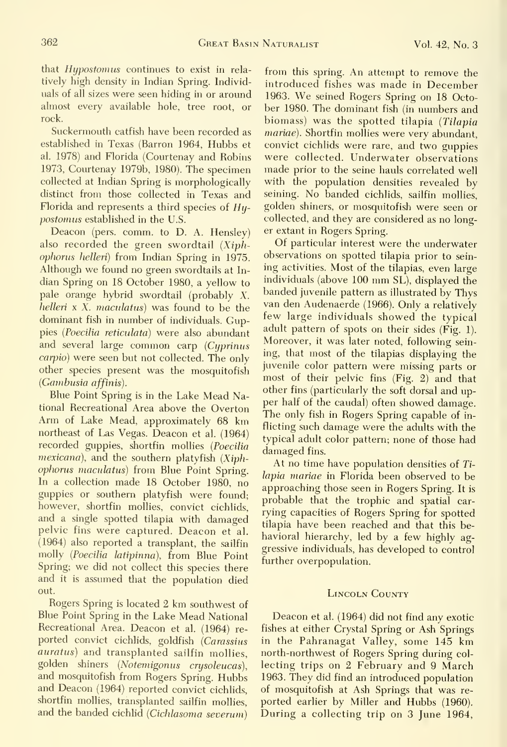that Hypostomus continues to exist in rela tively high density in Indian Spring. Individuals of all sizes were seen hiding in or around almost every available hole, tree root, or rock.

Suckermouth catfish have been recorded as established in Texas (Barron 1964, Hubbs et al. 1978) and Florida (Courtenay and Robins 1973, Courtenay 1979b, 1980). The specimen collected at Indian Spring is morphologically distinct from those collected in Texas and Florida and represents a third species of  $Hy$ postomus established in the U.S.

Deacon (pers. comm. to D. A. Hensley) also recorded the green swordtail (Xiphophonis helleri) from Indian Spring in 1975. Although we found no green swordtails at In dian Spring on 18 October 1980, a yellow to pale orange hybrid swordtail (probably X. helleri x X. maculatus) was found to be the dominant fish in number of individuals. Guppies (Poecilia reticulata) were also abundant and several large common carp (Cyprinus carpio) were seen but not collected. The only other species present was the mosquitofish {Gambusia affinis).

Blue Point Spring is in the Lake Mead National Recreational Area above the Overton Arm of Lake Mead, approximately 68 km northeast of Las Vegas. Deacon et al. (1964) recorded guppies, shortfin mollies {Poecilia  $mexicana$ ), and the southern platyfish  $(Xiph$ ophorus maculatus) from Blue Point Spring. In a collection made 18 October 1980, no guppies or southern platyfish were found; however, shortfin mollies, convict cichlids, and a single spotted tilapia with damaged pelvic fins were captured. Deacon et al. (1964) also reported a transplant, the sailfin molly {Poecilia latipinna), from Blue Point Spring; we did not collect this species there and it is assumed that the population died out.

Rogers Spring is located 2 km southwest of Blue Point Spring in the Lake Mead National Recreational Area. Deacon et al. (1964) re ported convict cichlids, goldfish (Carassius auratus) and transplanted sailfin mollies, golden shiners {Notemigonus crysoleucas), and mosquitofish from Rogers Spring. Hubbs and Deacon (1964) reported convict cichlids, shortfin mollies, transplanted sailfin mollies, and the banded cichlid (Cichlasoma severum)

from this spring. An attempt to remove the introduced fishes was made in December 1963. We seined Rogers Spring on <sup>18</sup> October 1980. The dominant fish (in numbers and biomass) was the spotted tilapia (Tilapia mariae). Shortfin mollies were very abundant, convict cichlids were rare, and two guppies were collected. Underwater observations made prior to the seine hauls correlated well with the population densities revealed by seining. No banded cichlids, sailfin mollies, golden shiners, or mosquitofish were seen or collected, and they are considered as no longer extant in Rogers Spring.

Of particular interest were the underwater observations on spotted tilapia prior to sein ing activities. Most of the tilapias, even large individuals (above <sup>100</sup> mm SL), displayed the banded juvenile pattern as illustrated by Thys van den Audenaerde (1966). Only a relatively few large individuals showed the typical adult pattern of spots on their sides (Fig. 1). Moreover, it was later noted, following seining, that most of the tilapias displaying the juvenile color pattern were missing parts or most of their pelvic fins (Fig. 2) and that other fins (particularly the soft dorsal and up per half of the caudal) often showed damage. The only fish in Rogers Spring capable of in flicting such damage were the adults with the typical adult color pattern; none of those had damaged fins.

At no time have population densities of Ti lapia mariae in Florida been observed to be approaching those seen in Rogers Spring. It is probable that the trophic and spatial car rying capacities of Rogers Spring for spotted tilapia have been reached and that this be havioral hierarchy, led by a few highly aggressive individuals, has developed to control further overpopulation.

#### Lincoln Gounty

Deacon et al. (1964) did not find any exotic fishes at either Grystal Spring or Ash Springs in the Pahranagat Valley, some 145 km north-northwest of Rogers Spring during col lecting trips on 2 February and 9 March 1963. They did find an introduced population of mosquitofish at Ash Springs that was re ported earlier by Miller and Hubbs (1960). During <sup>a</sup> collecting trip on 3 June 1964,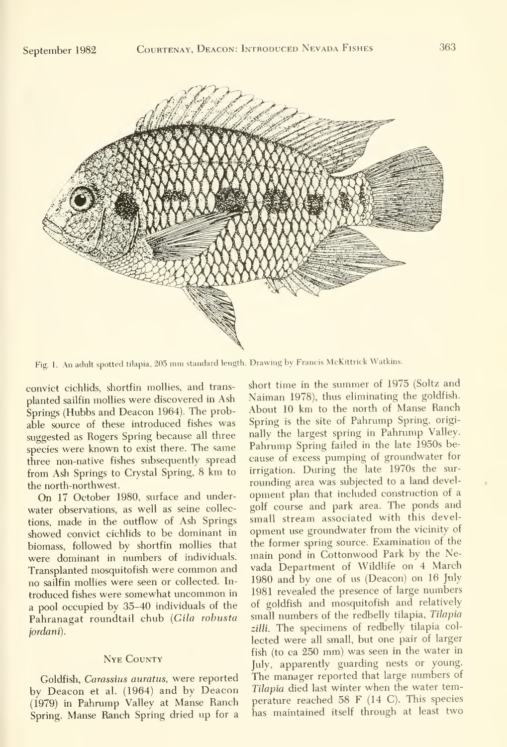

Fig. 1. An adult spotted tilapia, 205 mm standard length. Drawing by Francis McKittrick Watkins.

convict cichlids, shortfin mollies, and trans planted sailfin mollies were discovered in Ash Springs (Hubbs and Deacon 1964). The probable source of these introduced fishes was suggested as Rogers Spring because all three species were known to exist there. The same three non-native fishes subsequently spread from Ash Springs to Crystal Spring, <sup>8</sup> km to the north-northwest.

On 17 October 1980, surface and under water observations, as well as seine collections, made in the outflow of Ash Springs showed convict cichlids to be dominant in biomass, followed by shortfin mollies that were dominant in numbers of individuals. Transplanted mosquitofish were common and no sailfin mollies were seen or collected. In troduced fishes were somewhat uncommon in a pool occupied by 35-40 individuals of the Pahranagat roundtail chub {Gila robusta jordani).

#### Nye County

Goldfish, Carassius auratus, were reported by Deacon et al. (1964) and by Deacon (1979) in Pahrump Valley at Manse Ranch Spring. Manse Ranch Spring dried up for a short time in the summer of 1975 (Soltz and Naiman 1978), thus eliminating the goldfish. About 10 km to the north of Manse Ranch Spring is the site of Pahrump Spring, originally the largest spring in Pahrump Valley. Pahrump Spring failed in the late 1950s be cause of excess pumping of groundwater for irrigation. During the late 1970s the sur rounding area was subjected to a land devel opment plan that included construction of a golf course and park area. The ponds and small stream associated with this development use groundwater from the vicinity of the former spring source. Examination of the main pond in Cottonwood Park by the Nevada Department of Wildlife on <sup>4</sup> March 1980 and by one of us (Deacon) on 16 July 1981 revealed the presence of large numbers of goldfish and mosquitofish and relatively small numbers of the redbelly tilapia, Tilapia zilli. The specimens of redbelly tilapia col lected were all small, but one pair of larger fish (to ca 250 mm) was seen in the water in July, apparently guarding nests or young. The manager reported that large numbers of Tilapia died last winter when the water temperature reached 58 F (14 C). This species has maintained itself through at least two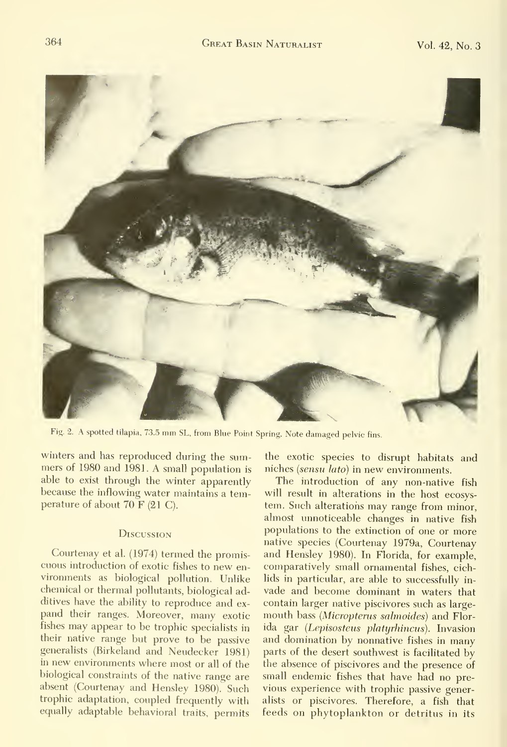

Fig. 2. A spotted tilapia, 73.5 mm SL, from Blue Point Spring. Note damaged pelvic fins.

winters and has reproduced during the summers of 1980 and 1981. A small population is able to exist through the winter apparently because the inflowing water maintains a temperature of about 70 F (21 C).

#### **DISCUSSION**

Courtenay et al. (1974) termed the promis cuous introduction of exotic fishes to new en vironments as biological pollution. Unlike chemical or thermal pollutants, biological additives have the ability to reproduce and ex pand their ranges. Moreover, many exotic fishes may appear to be trophic specialists in their native range but prove to be passive generalists (Birkeland and Neudecker 1981) in new environments where most or all of the biological constraints of the native range are absent (Courtenay and Hensley 1980). Such trophic adaptation, coupled frequently with equally adaptable behavioral traits, permits

the exotic species to disrupt habitats and niches {sensu lato) in new environments.

The introduction of any non-native fish will result in alterations in the host ecosys tem. Such alterations may range from minor, almost unnoticeable changes in native fish populations to the extinction of one or more native species (Courtenay 1979a, Courtenay and Hensley 1980). In Florida, for example, comparatively small ornamental fishes, cichlids in particular, are able to successfully in vade and become dominant in waters that contain larger native piscivores such as largemouth bass (Micropterus salmoides) and Florida gar (Lepisosteus platyrhincus). Invasion and domination by nonnative fishes in many parts of the desert southwest is facilitated by the absence of piscivores and the presence of small endemic fishes that have had no pre vious experience with trophic passive generalists or piscivores. Therefore, a fish that feeds on phytoplankton or detritus in its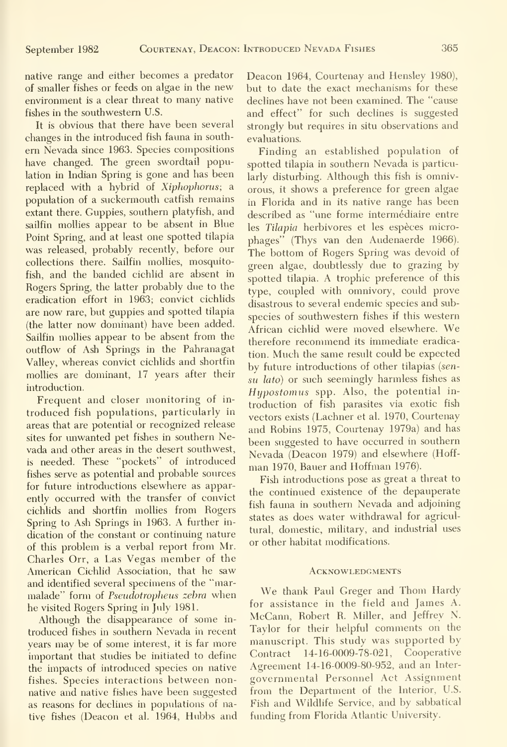native range and either becomes a predator of smaller fishes or feeds on algae in the new environment is a clear threat to many native fishes in the southwestern U.S.

It is obvious that there have been several changes in the introduced fish fauna in south em Nevada since 1963. Species compositions have changed. The green swordtail population in Indian Spring is gone and has been replaced with a hybrid of Xiphophorus; a population of a suckermouth catfish remains extant there. Guppies, southern platyfish, and sailfin mollies appear to be absent in Blue Point Spring, and at least one spotted tilapia was released, probably recently, before our collections there. Sailfin mollies, mosquitofish, and the banded cichlid are absent in Rogers Spring, the latter probably due to the eradication effort in 1963; convict cichlids are now rare, but guppies and spotted tilapia (the latter now dominant) have been added. Sailfin mollies appear to be absent from the outflow of Ash Springs in the Pahranagat Valley, whereas convict cichlids and shortfin mollies are dominant, 17 years after their introduction.

Frequent and closer monitoring of in troduced fish populations, particularly in areas that are potential or recognized release sites for unwanted pet fishes in southern Nevada and other areas in the desert southwest, is needed. These "pockets" of introduced fishes serve as potential and probable sources for future introductions elsewhere as apparently occurred with the transfer of convict cichlids and shortfin mollies from Rogers Spring to Ash Springs in 1963. A further in dication of the constant or continuing nature of this problem is a verbal report from Mr. Charles Orr, <sup>a</sup> Las Vegas member of the American Cichlid Association, that he saw and identified several specimens of the "mar malade" form of Pseudotropheus zebra when he visited Rogers Spring in July 1981.

Although the disappearance of some in troduced fishes in southern Nevada in recent years may be of some interest, it is far more important that studies be initiated to define the impacts of introduced species on native fishes. Species interactions between nonnative and native fishes have been suggested as reasons for declines in populations of native fishes (Deacon et al. 1964, Hubbs and Deacon 1964, Courtenay and Hensley 1980), but to date the exact mechanisms for these declines have not been examined. The "cause and effect" for such declines is suggested strongly but requires in situ observations and evaluations.

Finding an established population of spotted tilapia in southern Nevada is particularly disturbing. Although this fish is omnivorous, it shows a preference for green algae in Florida and in its native range has been described as "une forme intermédiaire entre les Tilapia herbivores et les espèces microphages" (Thys van den Audenaerde 1966). The bottom of Rogers Spring was devoid of green algae, doubtlessly due to grazing by spotted tilapia. A trophic preference of this type, coupled with omnivory, could prove disastrous to several endemic species and sub species of southwestern fishes if this western African cichlid were moved elsewhere. We therefore recommend its immediate eradication. Much the same result could be expected by future introductions of other tilapias (sensu lato) or such seemingly harmless fishes as Hypostomus spp. Also, the potential in troduction of fish parasites via exotic fish vectors exists (Lachner et al. 1970, Courtenay and Robins 1975, Courtenay 1979a) and has been suggested to have occurred in southern Nevada (Deacon 1979) and elsewhere (Hoff man 1970, Bauer and Hoffman 1976).

Fish introductions pose as great a threat to the continued existence of the depauperate fish fauna in southern Nevada and adjoining states as does water withdrawal for agricultural, domestic, military, and industrial uses or other habitat modifications.

#### **ACKNOWLEDGMENTS**

We thank Paul Greger and Thom Hardy for assistance in the field and James A. McCann, Robert R. Miller, and Jeffrey N. Taylor for their helpful comments on the manuscript. This study was supported by Contract 14-16-0009-78-021, Cooperative Agreement 14-16-0009-80-952, and an Inter governmental Personnel Act Assignment from the Department of the Interior, U.S. Fish and Wildlife Service, and by sabbatical funding from Florida Atlantic University.